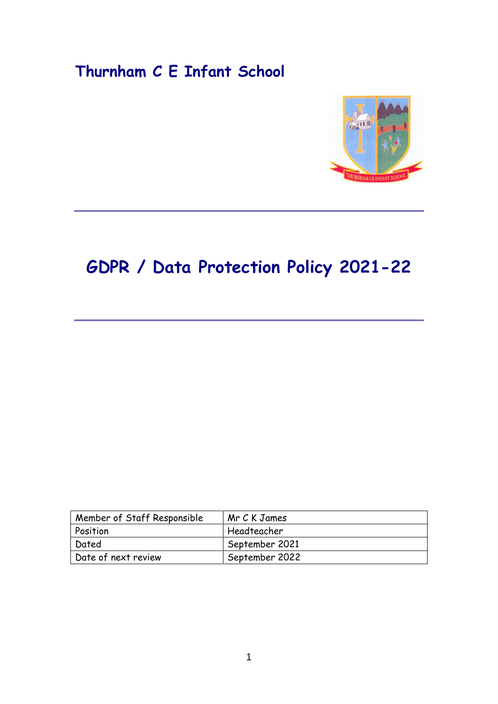## **Thurnham C E Infant School**



# **GDPR / Data Protection Policy 2021-22**

| Member of Staff Responsible | Mr C K James   |
|-----------------------------|----------------|
| Position                    | Headteacher    |
| Dated                       | September 2021 |
| Date of next review         | September 2022 |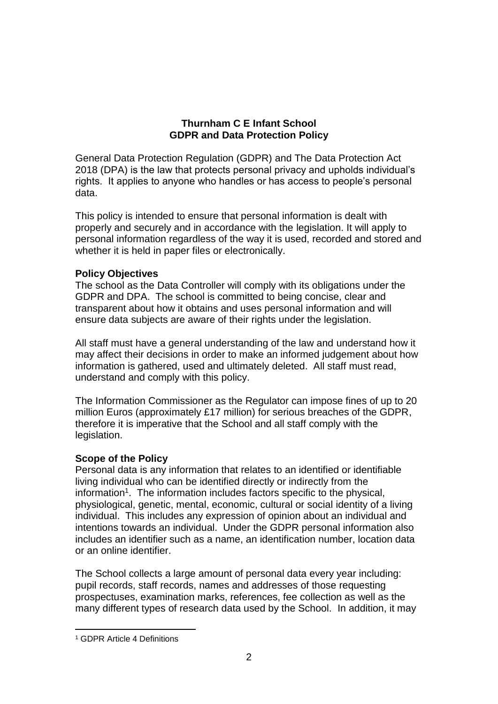## **Thurnham C E Infant School GDPR and Data Protection Policy**

General Data Protection Regulation (GDPR) and The Data Protection Act 2018 (DPA) is the law that protects personal privacy and upholds individual's rights. It applies to anyone who handles or has access to people's personal data.

This policy is intended to ensure that personal information is dealt with properly and securely and in accordance with the legislation. It will apply to personal information regardless of the way it is used, recorded and stored and whether it is held in paper files or electronically.

## **Policy Objectives**

The school as the Data Controller will comply with its obligations under the GDPR and DPA. The school is committed to being concise, clear and transparent about how it obtains and uses personal information and will ensure data subjects are aware of their rights under the legislation.

All staff must have a general understanding of the law and understand how it may affect their decisions in order to make an informed judgement about how information is gathered, used and ultimately deleted. All staff must read, understand and comply with this policy.

The Information Commissioner as the Regulator can impose fines of up to 20 million Euros (approximately £17 million) for serious breaches of the GDPR, therefore it is imperative that the School and all staff comply with the legislation.

## **Scope of the Policy**

Personal data is any information that relates to an identified or identifiable living individual who can be identified directly or indirectly from the information<sup>1</sup>. The information includes factors specific to the physical, physiological, genetic, mental, economic, cultural or social identity of a living individual. This includes any expression of opinion about an individual and intentions towards an individual. Under the GDPR personal information also includes an identifier such as a name, an identification number, location data or an online identifier.

The School collects a large amount of personal data every year including: pupil records, staff records, names and addresses of those requesting prospectuses, examination marks, references, fee collection as well as the many different types of research data used by the School. In addition, it may

1

<sup>1</sup> GDPR Article 4 Definitions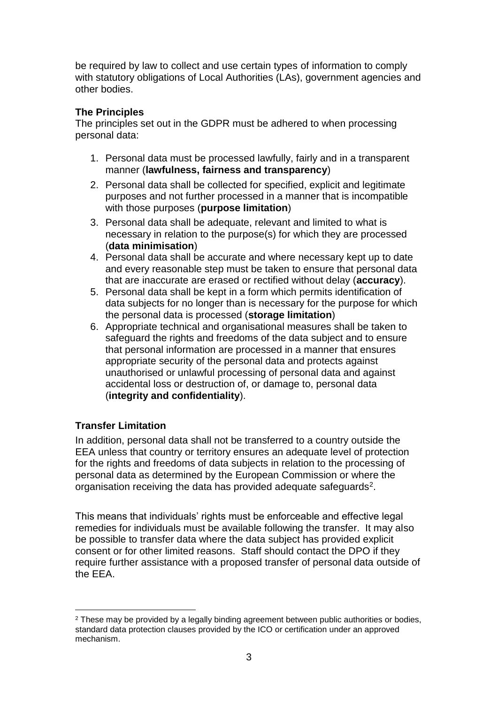be required by law to collect and use certain types of information to comply with statutory obligations of Local Authorities (LAs), government agencies and other bodies.

## **The Principles**

The principles set out in the GDPR must be adhered to when processing personal data:

- 1. Personal data must be processed lawfully, fairly and in a transparent manner (**lawfulness, fairness and transparency**)
- 2. Personal data shall be collected for specified, explicit and legitimate purposes and not further processed in a manner that is incompatible with those purposes (**purpose limitation**)
- 3. Personal data shall be adequate, relevant and limited to what is necessary in relation to the purpose(s) for which they are processed (**data minimisation**)
- 4. Personal data shall be accurate and where necessary kept up to date and every reasonable step must be taken to ensure that personal data that are inaccurate are erased or rectified without delay (**accuracy**).
- 5. Personal data shall be kept in a form which permits identification of data subjects for no longer than is necessary for the purpose for which the personal data is processed (**storage limitation**)
- 6. Appropriate technical and organisational measures shall be taken to safeguard the rights and freedoms of the data subject and to ensure that personal information are processed in a manner that ensures appropriate security of the personal data and protects against unauthorised or unlawful processing of personal data and against accidental loss or destruction of, or damage to, personal data (**integrity and confidentiality**).

## **Transfer Limitation**

In addition, personal data shall not be transferred to a country outside the EEA unless that country or territory ensures an adequate level of protection for the rights and freedoms of data subjects in relation to the processing of personal data as determined by the European Commission or where the organisation receiving the data has provided adequate safeguards<sup>2</sup>.

This means that individuals' rights must be enforceable and effective legal remedies for individuals must be available following the transfer. It may also be possible to transfer data where the data subject has provided explicit consent or for other limited reasons. Staff should contact the DPO if they require further assistance with a proposed transfer of personal data outside of the EEA.

<sup>&</sup>lt;u>.</u> <sup>2</sup> These may be provided by a legally binding agreement between public authorities or bodies. standard data protection clauses provided by the ICO or certification under an approved mechanism.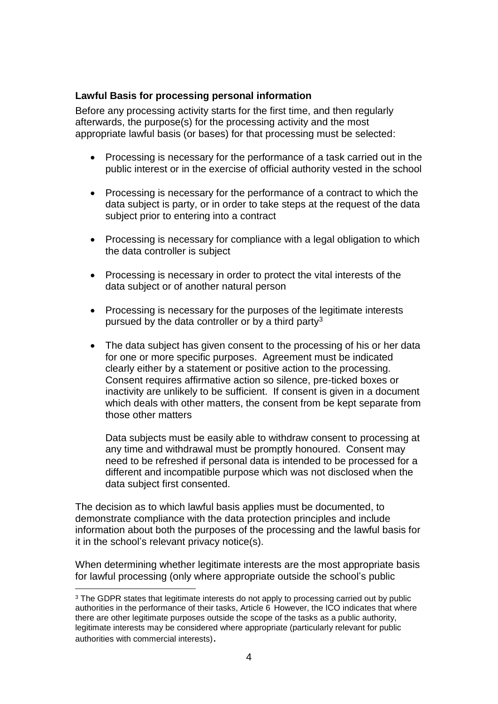## **Lawful Basis for processing personal information**

Before any processing activity starts for the first time, and then regularly afterwards, the purpose(s) for the processing activity and the most appropriate lawful basis (or bases) for that processing must be selected:

- Processing is necessary for the performance of a task carried out in the public interest or in the exercise of official authority vested in the school
- Processing is necessary for the performance of a contract to which the data subject is party, or in order to take steps at the request of the data subject prior to entering into a contract
- Processing is necessary for compliance with a legal obligation to which the data controller is subject
- Processing is necessary in order to protect the vital interests of the data subject or of another natural person
- Processing is necessary for the purposes of the legitimate interests pursued by the data controller or by a third party<sup>3</sup>
- The data subject has given consent to the processing of his or her data for one or more specific purposes. Agreement must be indicated clearly either by a statement or positive action to the processing. Consent requires affirmative action so silence, pre-ticked boxes or inactivity are unlikely to be sufficient. If consent is given in a document which deals with other matters, the consent from be kept separate from those other matters

Data subjects must be easily able to withdraw consent to processing at any time and withdrawal must be promptly honoured. Consent may need to be refreshed if personal data is intended to be processed for a different and incompatible purpose which was not disclosed when the data subject first consented.

The decision as to which lawful basis applies must be documented, to demonstrate compliance with the data protection principles and include information about both the purposes of the processing and the lawful basis for it in the school's relevant privacy notice(s).

When determining whether legitimate interests are the most appropriate basis for lawful processing (only where appropriate outside the school's public

1

<sup>&</sup>lt;sup>3</sup> The GDPR states that legitimate interests do not apply to processing carried out by public authorities in the performance of their tasks, Article 6 However, the ICO indicates that where there are other legitimate purposes outside the scope of the tasks as a public authority, legitimate interests may be considered where appropriate (particularly relevant for public authorities with commercial interests).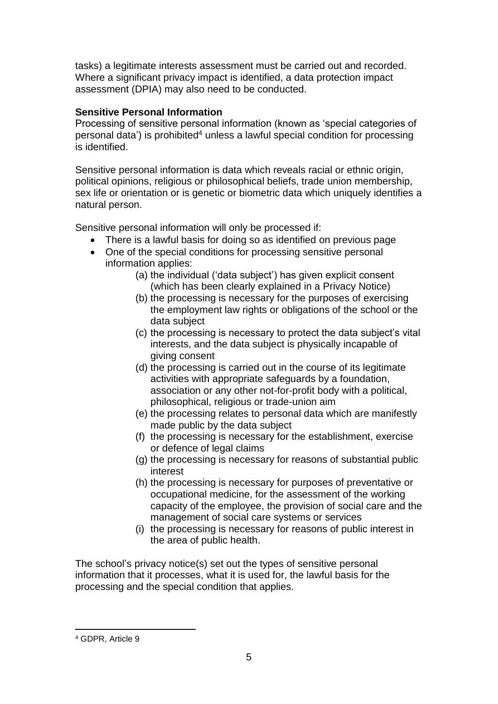tasks) a legitimate interests assessment must be carried out and recorded. Where a significant privacy impact is identified, a data protection impact assessment (DPIA) may also need to be conducted.

## **Sensitive Personal Information**

Processing of sensitive personal information (known as 'special categories of personal data') is prohibited<sup>4</sup> unless a lawful special condition for processing is identified.

Sensitive personal information is data which reveals racial or ethnic origin, political opinions, religious or philosophical beliefs, trade union membership, sex life or orientation or is genetic or biometric data which uniquely identifies a natural person.

Sensitive personal information will only be processed if:

- There is a lawful basis for doing so as identified on previous page
- One of the special conditions for processing sensitive personal information applies:
	- (a) the individual ('data subject') has given explicit consent (which has been clearly explained in a Privacy Notice)
	- (b) the processing is necessary for the purposes of exercising the employment law rights or obligations of the school or the data subject
	- (c) the processing is necessary to protect the data subject's vital interests, and the data subject is physically incapable of giving consent
	- (d) the processing is carried out in the course of its legitimate activities with appropriate safeguards by a foundation, association or any other not-for-profit body with a political, philosophical, religious or trade-union aim
	- (e) the processing relates to personal data which are manifestly made public by the data subject
	- (f) the processing is necessary for the establishment, exercise or defence of legal claims
	- (g) the processing is necessary for reasons of substantial public interest
	- (h) the processing is necessary for purposes of preventative or occupational medicine, for the assessment of the working capacity of the employee, the provision of social care and the management of social care systems or services
	- (i) the processing is necessary for reasons of public interest in the area of public health.

The school's privacy notice(s) set out the types of sensitive personal information that it processes, what it is used for, the lawful basis for the processing and the special condition that applies.

1

<sup>4</sup> GDPR, Article 9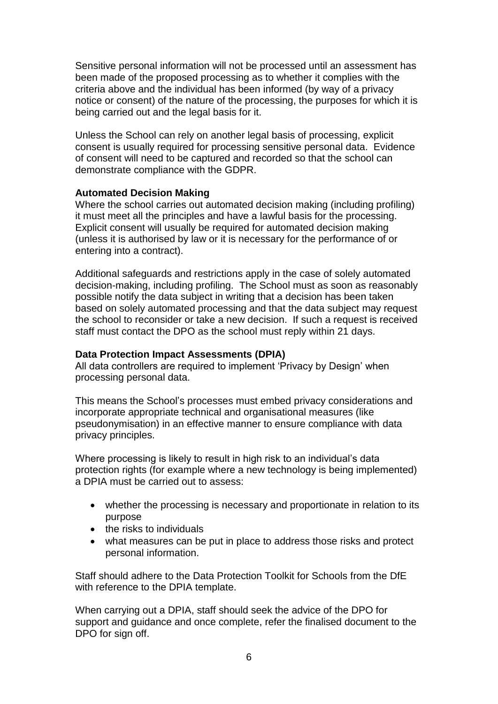Sensitive personal information will not be processed until an assessment has been made of the proposed processing as to whether it complies with the criteria above and the individual has been informed (by way of a privacy notice or consent) of the nature of the processing, the purposes for which it is being carried out and the legal basis for it.

Unless the School can rely on another legal basis of processing, explicit consent is usually required for processing sensitive personal data. Evidence of consent will need to be captured and recorded so that the school can demonstrate compliance with the GDPR.

## **Automated Decision Making**

Where the school carries out automated decision making (including profiling) it must meet all the principles and have a lawful basis for the processing. Explicit consent will usually be required for automated decision making (unless it is authorised by law or it is necessary for the performance of or entering into a contract).

Additional safeguards and restrictions apply in the case of solely automated decision-making, including profiling. The School must as soon as reasonably possible notify the data subject in writing that a decision has been taken based on solely automated processing and that the data subject may request the school to reconsider or take a new decision. If such a request is received staff must contact the DPO as the school must reply within 21 days.

## **Data Protection Impact Assessments (DPIA)**

All data controllers are required to implement 'Privacy by Design' when processing personal data.

This means the School's processes must embed privacy considerations and incorporate appropriate technical and organisational measures (like pseudonymisation) in an effective manner to ensure compliance with data privacy principles.

Where processing is likely to result in high risk to an individual's data protection rights (for example where a new technology is being implemented) a DPIA must be carried out to assess:

- whether the processing is necessary and proportionate in relation to its purpose
- $\bullet$  the risks to individuals
- what measures can be put in place to address those risks and protect personal information.

Staff should adhere to the Data Protection Toolkit for Schools from the DfE with reference to the DPIA template.

When carrying out a DPIA, staff should seek the advice of the DPO for support and guidance and once complete, refer the finalised document to the DPO for sign off.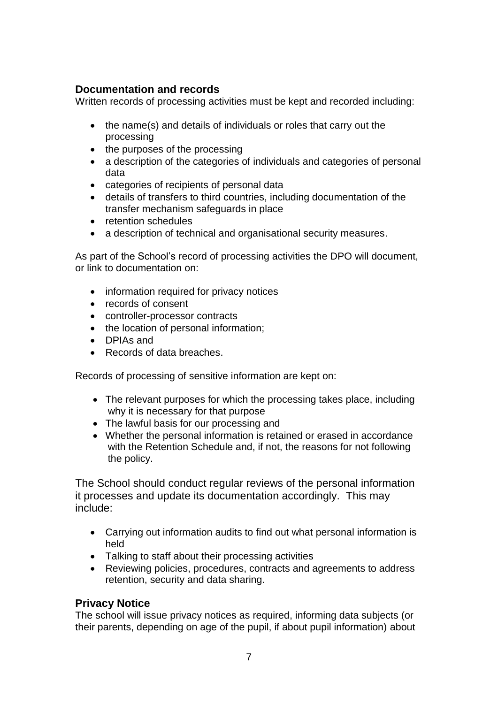## **Documentation and records**

Written records of processing activities must be kept and recorded including:

- the name(s) and details of individuals or roles that carry out the processing
- the purposes of the processing
- a description of the categories of individuals and categories of personal data
- categories of recipients of personal data
- details of transfers to third countries, including documentation of the transfer mechanism safeguards in place
- retention schedules
- a description of technical and organisational security measures.

As part of the School's record of processing activities the DPO will document, or link to documentation on:

- information required for privacy notices
- records of consent
- controller-processor contracts
- the location of personal information;
- DPIAs and
- Records of data breaches.

Records of processing of sensitive information are kept on:

- The relevant purposes for which the processing takes place, including why it is necessary for that purpose
- The lawful basis for our processing and
- Whether the personal information is retained or erased in accordance with the Retention Schedule and, if not, the reasons for not following the policy.

The School should conduct regular reviews of the personal information it processes and update its documentation accordingly. This may include:

- Carrying out information audits to find out what personal information is held
- Talking to staff about their processing activities
- Reviewing policies, procedures, contracts and agreements to address retention, security and data sharing.

## **Privacy Notice**

The school will issue privacy notices as required, informing data subjects (or their parents, depending on age of the pupil, if about pupil information) about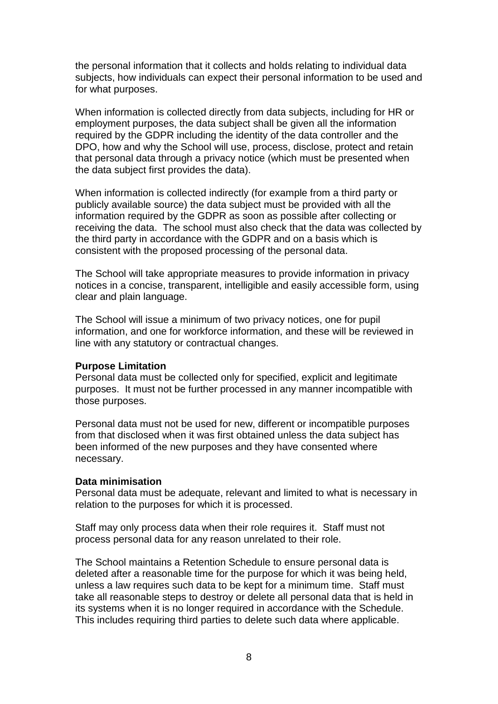the personal information that it collects and holds relating to individual data subjects, how individuals can expect their personal information to be used and for what purposes.

When information is collected directly from data subjects, including for HR or employment purposes, the data subject shall be given all the information required by the GDPR including the identity of the data controller and the DPO, how and why the School will use, process, disclose, protect and retain that personal data through a privacy notice (which must be presented when the data subject first provides the data).

When information is collected indirectly (for example from a third party or publicly available source) the data subject must be provided with all the information required by the GDPR as soon as possible after collecting or receiving the data. The school must also check that the data was collected by the third party in accordance with the GDPR and on a basis which is consistent with the proposed processing of the personal data.

The School will take appropriate measures to provide information in privacy notices in a concise, transparent, intelligible and easily accessible form, using clear and plain language.

The School will issue a minimum of two privacy notices, one for pupil information, and one for workforce information, and these will be reviewed in line with any statutory or contractual changes.

#### **Purpose Limitation**

Personal data must be collected only for specified, explicit and legitimate purposes. It must not be further processed in any manner incompatible with those purposes.

Personal data must not be used for new, different or incompatible purposes from that disclosed when it was first obtained unless the data subject has been informed of the new purposes and they have consented where necessary.

#### **Data minimisation**

Personal data must be adequate, relevant and limited to what is necessary in relation to the purposes for which it is processed.

Staff may only process data when their role requires it. Staff must not process personal data for any reason unrelated to their role.

The School maintains a Retention Schedule to ensure personal data is deleted after a reasonable time for the purpose for which it was being held, unless a law requires such data to be kept for a minimum time. Staff must take all reasonable steps to destroy or delete all personal data that is held in its systems when it is no longer required in accordance with the Schedule. This includes requiring third parties to delete such data where applicable.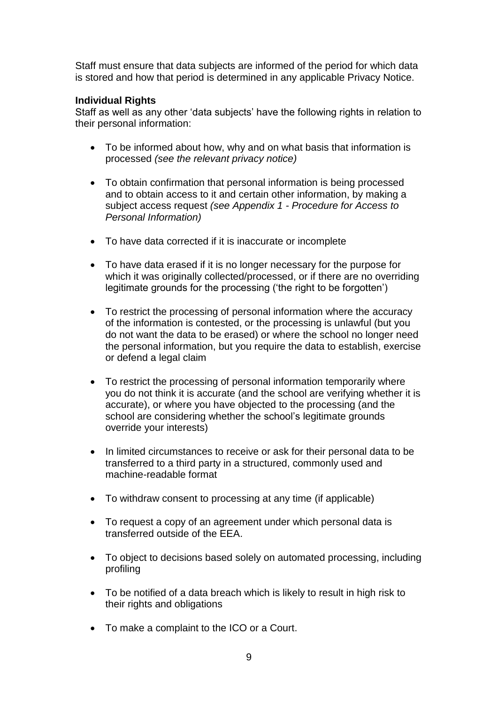Staff must ensure that data subjects are informed of the period for which data is stored and how that period is determined in any applicable Privacy Notice.

## **Individual Rights**

Staff as well as any other 'data subjects' have the following rights in relation to their personal information:

- To be informed about how, why and on what basis that information is processed *(see the relevant privacy notice)*
- To obtain confirmation that personal information is being processed and to obtain access to it and certain other information, by making a subject access request *(see Appendix 1 - Procedure for Access to Personal Information)*
- To have data corrected if it is inaccurate or incomplete
- To have data erased if it is no longer necessary for the purpose for which it was originally collected/processed, or if there are no overriding legitimate grounds for the processing ('the right to be forgotten')
- To restrict the processing of personal information where the accuracy of the information is contested, or the processing is unlawful (but you do not want the data to be erased) or where the school no longer need the personal information, but you require the data to establish, exercise or defend a legal claim
- To restrict the processing of personal information temporarily where you do not think it is accurate (and the school are verifying whether it is accurate), or where you have objected to the processing (and the school are considering whether the school's legitimate grounds override your interests)
- In limited circumstances to receive or ask for their personal data to be transferred to a third party in a structured, commonly used and machine-readable format
- To withdraw consent to processing at any time (if applicable)
- To request a copy of an agreement under which personal data is transferred outside of the EEA.
- To object to decisions based solely on automated processing, including profiling
- To be notified of a data breach which is likely to result in high risk to their rights and obligations
- To make a complaint to the ICO or a Court.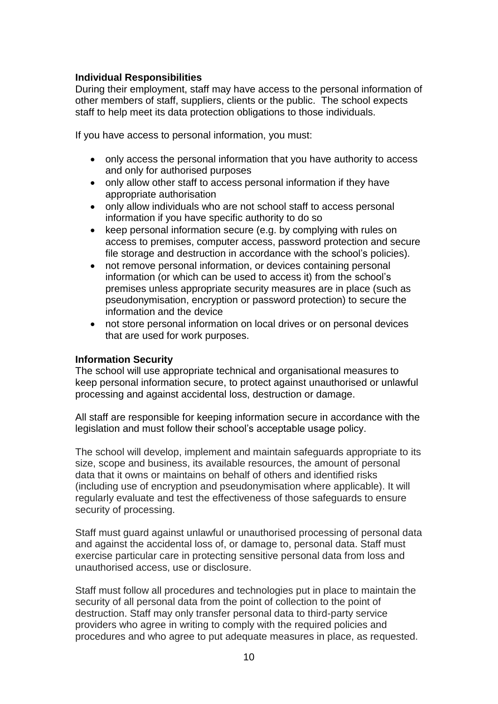## **Individual Responsibilities**

During their employment, staff may have access to the personal information of other members of staff, suppliers, clients or the public. The school expects staff to help meet its data protection obligations to those individuals.

If you have access to personal information, you must:

- only access the personal information that you have authority to access and only for authorised purposes
- only allow other staff to access personal information if they have appropriate authorisation
- only allow individuals who are not school staff to access personal information if you have specific authority to do so
- keep personal information secure (e.g. by complying with rules on access to premises, computer access, password protection and secure file storage and destruction in accordance with the school's policies).
- not remove personal information, or devices containing personal information (or which can be used to access it) from the school's premises unless appropriate security measures are in place (such as pseudonymisation, encryption or password protection) to secure the information and the device
- not store personal information on local drives or on personal devices that are used for work purposes.

## **Information Security**

The school will use appropriate technical and organisational measures to keep personal information secure, to protect against unauthorised or unlawful processing and against accidental loss, destruction or damage.

All staff are responsible for keeping information secure in accordance with the legislation and must follow their school's acceptable usage policy.

The school will develop, implement and maintain safeguards appropriate to its size, scope and business, its available resources, the amount of personal data that it owns or maintains on behalf of others and identified risks (including use of encryption and pseudonymisation where applicable). It will regularly evaluate and test the effectiveness of those safeguards to ensure security of processing.

Staff must guard against unlawful or unauthorised processing of personal data and against the accidental loss of, or damage to, personal data. Staff must exercise particular care in protecting sensitive personal data from loss and unauthorised access, use or disclosure.

Staff must follow all procedures and technologies put in place to maintain the security of all personal data from the point of collection to the point of destruction. Staff may only transfer personal data to third-party service providers who agree in writing to comply with the required policies and procedures and who agree to put adequate measures in place, as requested.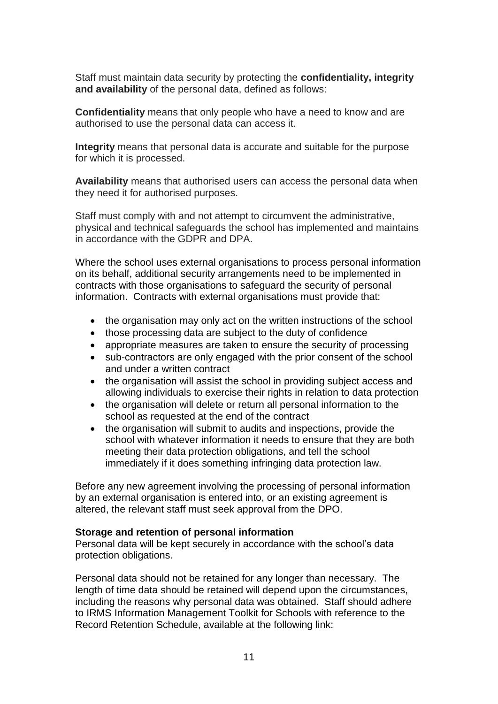Staff must maintain data security by protecting the **confidentiality, integrity and availability** of the personal data, defined as follows:

**Confidentiality** means that only people who have a need to know and are authorised to use the personal data can access it.

**Integrity** means that personal data is accurate and suitable for the purpose for which it is processed.

**Availability** means that authorised users can access the personal data when they need it for authorised purposes.

Staff must comply with and not attempt to circumvent the administrative, physical and technical safeguards the school has implemented and maintains in accordance with the GDPR and DPA.

Where the school uses external organisations to process personal information on its behalf, additional security arrangements need to be implemented in contracts with those organisations to safeguard the security of personal information. Contracts with external organisations must provide that:

- the organisation may only act on the written instructions of the school
- those processing data are subject to the duty of confidence
- appropriate measures are taken to ensure the security of processing
- sub-contractors are only engaged with the prior consent of the school and under a written contract
- the organisation will assist the school in providing subject access and allowing individuals to exercise their rights in relation to data protection
- the organisation will delete or return all personal information to the school as requested at the end of the contract
- the organisation will submit to audits and inspections, provide the school with whatever information it needs to ensure that they are both meeting their data protection obligations, and tell the school immediately if it does something infringing data protection law.

Before any new agreement involving the processing of personal information by an external organisation is entered into, or an existing agreement is altered, the relevant staff must seek approval from the DPO.

#### **Storage and retention of personal information**

Personal data will be kept securely in accordance with the school's data protection obligations.

Personal data should not be retained for any longer than necessary. The length of time data should be retained will depend upon the circumstances, including the reasons why personal data was obtained. Staff should adhere to IRMS Information Management Toolkit for Schools with reference to the Record Retention Schedule, available at the following link: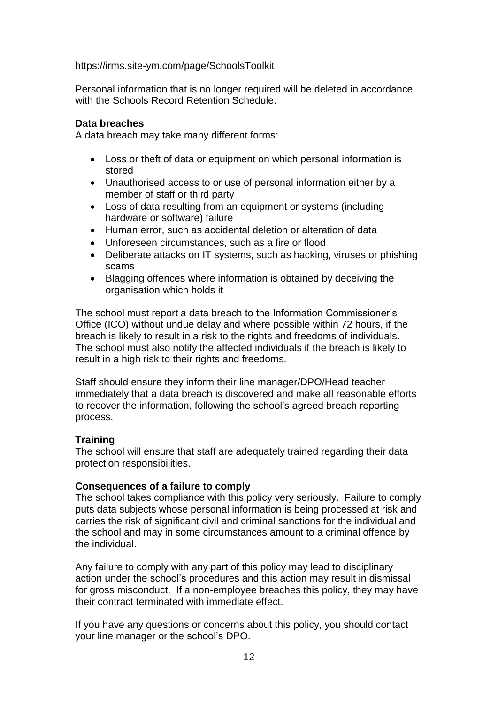https://irms.site-ym.com/page/SchoolsToolkit

Personal information that is no longer required will be deleted in accordance with the Schools Record Retention Schedule.

#### **Data breaches**

A data breach may take many different forms:

- Loss or theft of data or equipment on which personal information is stored
- Unauthorised access to or use of personal information either by a member of staff or third party
- Loss of data resulting from an equipment or systems (including hardware or software) failure
- Human error, such as accidental deletion or alteration of data
- Unforeseen circumstances, such as a fire or flood
- Deliberate attacks on IT systems, such as hacking, viruses or phishing scams
- Blagging offences where information is obtained by deceiving the organisation which holds it

The school must report a data breach to the Information Commissioner's Office (ICO) without undue delay and where possible within 72 hours, if the breach is likely to result in a risk to the rights and freedoms of individuals. The school must also notify the affected individuals if the breach is likely to result in a high risk to their rights and freedoms.

Staff should ensure they inform their line manager/DPO/Head teacher immediately that a data breach is discovered and make all reasonable efforts to recover the information, following the school's agreed breach reporting process.

## **Training**

The school will ensure that staff are adequately trained regarding their data protection responsibilities.

#### **Consequences of a failure to comply**

The school takes compliance with this policy very seriously. Failure to comply puts data subjects whose personal information is being processed at risk and carries the risk of significant civil and criminal sanctions for the individual and the school and may in some circumstances amount to a criminal offence by the individual.

Any failure to comply with any part of this policy may lead to disciplinary action under the school's procedures and this action may result in dismissal for gross misconduct. If a non-employee breaches this policy, they may have their contract terminated with immediate effect.

If you have any questions or concerns about this policy, you should contact your line manager or the school's DPO.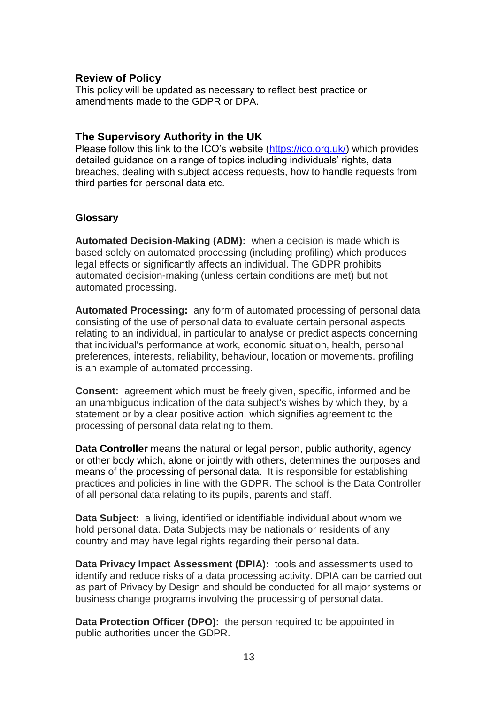## **Review of Policy**

This policy will be updated as necessary to reflect best practice or amendments made to the GDPR or DPA.

## **The Supervisory Authority in the UK**

Please follow this link to the ICO's website [\(https://ico.org.uk/\)](https://ico.org.uk/) which provides detailed guidance on a range of topics including individuals' rights, data breaches, dealing with subject access requests, how to handle requests from third parties for personal data etc.

## **Glossary**

**Automated Decision-Making (ADM):** when a decision is made which is based solely on automated processing (including profiling) which produces legal effects or significantly affects an individual. The GDPR prohibits automated decision-making (unless certain conditions are met) but not automated processing.

**Automated Processing:** any form of automated processing of personal data consisting of the use of personal data to evaluate certain personal aspects relating to an individual, in particular to analyse or predict aspects concerning that individual's performance at work, economic situation, health, personal preferences, interests, reliability, behaviour, location or movements. profiling is an example of automated processing.

**Consent:** agreement which must be freely given, specific, informed and be an unambiguous indication of the data subject's wishes by which they, by a statement or by a clear positive action, which signifies agreement to the processing of personal data relating to them.

**Data Controller** means the natural or legal person, public authority, agency or other body which, alone or jointly with others, determines the purposes and means of the processing of personal data. It is responsible for establishing practices and policies in line with the GDPR. The school is the Data Controller of all personal data relating to its pupils, parents and staff.

**Data Subject:** a living, identified or identifiable individual about whom we hold personal data. Data Subjects may be nationals or residents of any country and may have legal rights regarding their personal data.

**Data Privacy Impact Assessment (DPIA):** tools and assessments used to identify and reduce risks of a data processing activity. DPIA can be carried out as part of Privacy by Design and should be conducted for all major systems or business change programs involving the processing of personal data.

**Data Protection Officer (DPO):** the person required to be appointed in public authorities under the GDPR.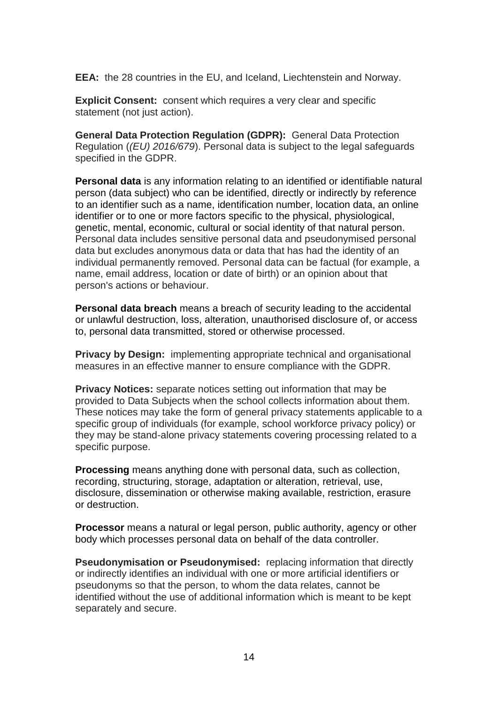**EEA:** the 28 countries in the EU, and Iceland, Liechtenstein and Norway.

**Explicit Consent:** consent which requires a very clear and specific statement (not just action).

**General Data Protection Regulation (GDPR):** General Data Protection Regulation (*(EU) 2016/679*). Personal data is subject to the legal safeguards specified in the GDPR.

**Personal data** is any information relating to an identified or identifiable natural person (data subject) who can be identified, directly or indirectly by reference to an identifier such as a name, identification number, location data, an online identifier or to one or more factors specific to the physical, physiological, genetic, mental, economic, cultural or social identity of that natural person. Personal data includes sensitive personal data and pseudonymised personal data but excludes anonymous data or data that has had the identity of an individual permanently removed. Personal data can be factual (for example, a name, email address, location or date of birth) or an opinion about that person's actions or behaviour.

**Personal data breach** means a breach of security leading to the accidental or unlawful destruction, loss, alteration, unauthorised disclosure of, or access to, personal data transmitted, stored or otherwise processed.

**Privacy by Design:** implementing appropriate technical and organisational measures in an effective manner to ensure compliance with the GDPR.

**Privacy Notices:** separate notices setting out information that may be provided to Data Subjects when the school collects information about them. These notices may take the form of general privacy statements applicable to a specific group of individuals (for example, school workforce privacy policy) or they may be stand-alone privacy statements covering processing related to a specific purpose.

**Processing** means anything done with personal data, such as collection, recording, structuring, storage, adaptation or alteration, retrieval, use, disclosure, dissemination or otherwise making available, restriction, erasure or destruction.

**Processor** means a natural or legal person, public authority, agency or other body which processes personal data on behalf of the data controller.

**Pseudonymisation or Pseudonymised:** replacing information that directly or indirectly identifies an individual with one or more artificial identifiers or pseudonyms so that the person, to whom the data relates, cannot be identified without the use of additional information which is meant to be kept separately and secure.